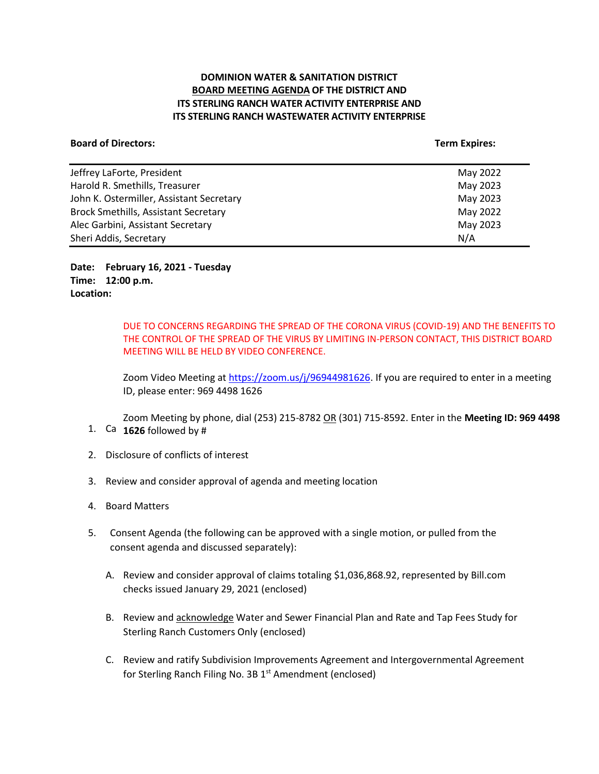## **DOMINION WATER & SANITATION DISTRICT BOARD MEETING AGENDA OF THE DISTRICT AND ITS STERLING RANCH WATER ACTIVITY ENTERPRISE AND ITS STERLING RANCH WASTEWATER ACTIVITY ENTERPRISE**

#### **Board of Directors:** Term Expires: Term Expires: Term Expires: Term Expires: Term Expires: Term Expires: Term Expires: Term Expires: Term Expires: Term Expires: Term Expires: Term Expires: Term Expires: Term Expires: Term

| Jeffrey LaForte, President                  | May 2022 |
|---------------------------------------------|----------|
| Harold R. Smethills, Treasurer              | May 2023 |
| John K. Ostermiller, Assistant Secretary    | May 2023 |
| <b>Brock Smethills, Assistant Secretary</b> | May 2022 |
| Alec Garbini, Assistant Secretary           | May 2023 |
| Sheri Addis, Secretary                      | N/A      |

**Date: February 16, 2021 - Tuesday Time: 12:00 p.m. Location:**

> DUE TO CONCERNS REGARDING THE SPREAD OF THE CORONA VIRUS (COVID-19) AND THE BENEFITS TO THE CONTROL OF THE SPREAD OF THE VIRUS BY LIMITING IN-PERSON CONTACT, THIS DISTRICT BOARD MEETING WILL BE HELD BY VIDEO CONFERENCE.

> Zoom Video Meeting at [https://zoom.us/j/96944981626.](https://zoom.us/j/96944981626) If you are required to enter in a meeting ID, please enter: 969 4498 1626

1. Ca  $1626$  followed by # Zoom Meeting by phone, dial (253) 215-8782 OR (301) 715-8592. Enter in the **Meeting ID: 969 4498** 

- 2. Disclosure of conflicts of interest
- 3. Review and consider approval of agenda and meeting location
- 4. Board Matters
- 5. Consent Agenda (the following can be approved with a single motion, or pulled from the consent agenda and discussed separately):
	- A. Review and consider approval of claims totaling \$1,036,868.92, represented by Bill.com checks issued January 29, 2021 (enclosed)
	- B. Review and acknowledge Water and Sewer Financial Plan and Rate and Tap Fees Study for Sterling Ranch Customers Only (enclosed)
	- C. Review and ratify Subdivision Improvements Agreement and Intergovernmental Agreement for Sterling Ranch Filing No. 3B 1<sup>st</sup> Amendment (enclosed)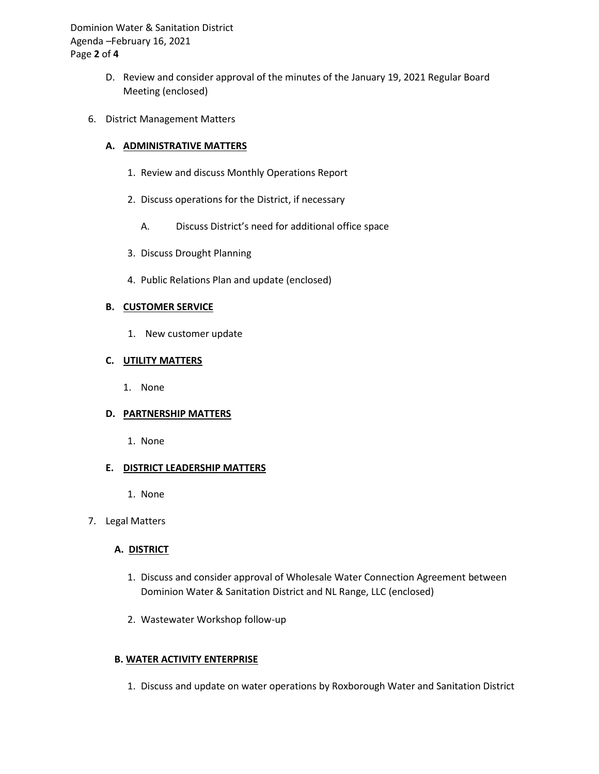Dominion Water & Sanitation District Agenda –February 16, 2021 Page **2** of **4**

- D. Review and consider approval of the minutes of the January 19, 2021 Regular Board Meeting (enclosed)
- 6. District Management Matters

### **A. ADMINISTRATIVE MATTERS**

- 1. Review and discuss Monthly Operations Report
- 2. Discuss operations for the District, if necessary
	- A. Discuss District's need for additional office space
- 3. Discuss Drought Planning
- 4. Public Relations Plan and update (enclosed)

## **B. CUSTOMER SERVICE**

1. New customer update

# **C. UTILITY MATTERS**

1. None

#### **D. PARTNERSHIP MATTERS**

1. None

#### **E. DISTRICT LEADERSHIP MATTERS**

1. None

#### 7. Legal Matters

# **A. DISTRICT**

- 1. Discuss and consider approval of Wholesale Water Connection Agreement between Dominion Water & Sanitation District and NL Range, LLC (enclosed)
- 2. Wastewater Workshop follow-up

# **B. WATER ACTIVITY ENTERPRISE**

1. Discuss and update on water operations by Roxborough Water and Sanitation District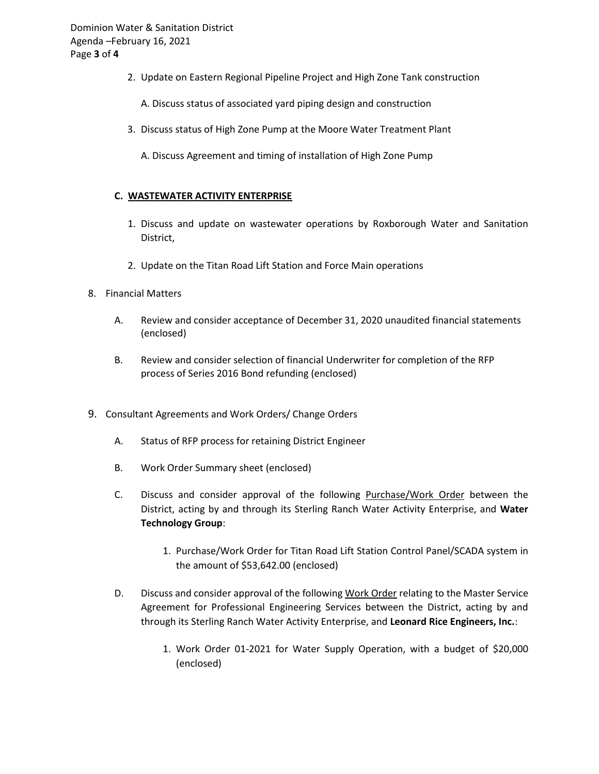2. Update on Eastern Regional Pipeline Project and High Zone Tank construction

A. Discuss status of associated yard piping design and construction

- 3. Discuss status of High Zone Pump at the Moore Water Treatment Plant
	- A. Discuss Agreement and timing of installation of High Zone Pump

#### **C. WASTEWATER ACTIVITY ENTERPRISE**

- 1. Discuss and update on wastewater operations by Roxborough Water and Sanitation District,
- 2. Update on the Titan Road Lift Station and Force Main operations
- 8. Financial Matters
	- A. Review and consider acceptance of December 31, 2020 unaudited financial statements (enclosed)
	- B. Review and consider selection of financial Underwriter for completion of the RFP process of Series 2016 Bond refunding (enclosed)
- 9. Consultant Agreements and Work Orders/ Change Orders
	- A. Status of RFP process for retaining District Engineer
	- B. Work Order Summary sheet (enclosed)
	- C. Discuss and consider approval of the following Purchase/Work Order between the District, acting by and through its Sterling Ranch Water Activity Enterprise, and **Water Technology Group**:
		- 1. Purchase/Work Order for Titan Road Lift Station Control Panel/SCADA system in the amount of \$53,642.00 (enclosed)
	- D. Discuss and consider approval of the following Work Order relating to the Master Service Agreement for Professional Engineering Services between the District, acting by and through its Sterling Ranch Water Activity Enterprise, and **Leonard Rice Engineers, Inc.**:
		- 1. Work Order 01-2021 for Water Supply Operation, with a budget of \$20,000 (enclosed)